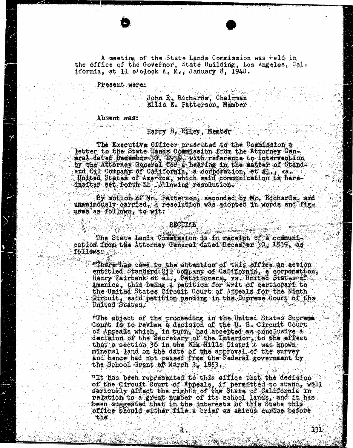A meeting of the State Lands Commission was held in the office of the Governor, State Building, Los Angeles, California, at 11 o'clock A, M., January 8, 1940.

Present were:

John R. Richards, Chairman Ellis E. Patterson, Member

Absent was:

the

## Harry B. Riley, Member

The Executive Officer preschted to the Commission a letter to the State Lands Commission from the Attorney Goneral dated December 36, 1939, with reference to intervention by the Attorney General for a hearing in the matte ard Oil Company of California, a corporation, et al,, vs. United States of America, which said communication is hereinafter set forth in following resolution.

By motion of Mr. Patterson, seconded by Mr. Richards, and unanimously carried, a resolution was adopted in words and figs ures as follows, to wit:

## RECITAL

The State Lands Commission is in receipt of a communication from the Attorney General dated December 30: 1939, as follows:

"There has come to the attention of this office an action entitled Standard Oil Company of California, a corporation, Henry Fairbank et al,, Petitioners, vs. United States of America, this being a petition for writ of certiorarf to the United States Circuit Court of Appeals for the Ninth Circuit, said petition pending in the Supreme Court of the United States.

"The object of the proceeding in the United States Supreme Count is to review a decision of the U. S. Cir of Appeals which, in turn, had accepted as decision of the Secretary of the Interior, to the effect that a section 36 in the Elk Hills Distri it was known mineral land on the date of the approval of the survey and hence had not passed from the Federal government by the School Grant of March 3, 1853

"It has been represented to this office that the decision of the Circuit Court of Appeals, if permitted to seriously affect the rights of the State of Cal been suggested that in the interests of this State this .<br>office should either file a brief as amicus curiae before

IBI